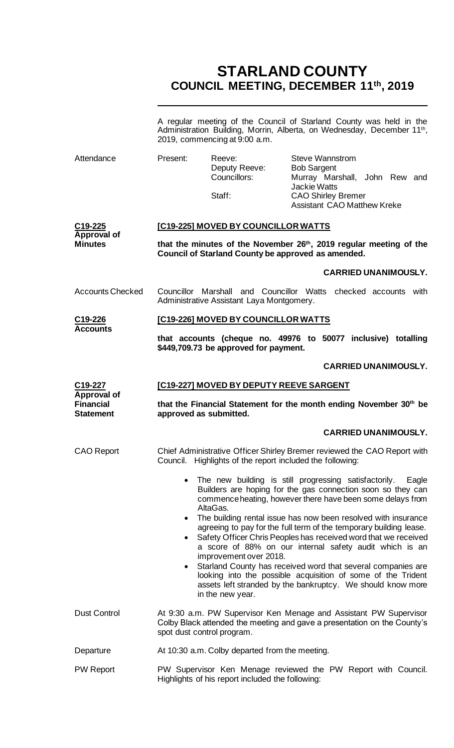# **STARLAND COUNTY COUNCIL MEETING, DECEMBER 11th, 2019**

|                                                            | A regular meeting of the Council of Starland County was held in the<br>Administration Building, Morrin, Alberta, on Wednesday, December 11 <sup>th</sup> ,<br>2019, commencing at 9:00 a.m. |                                                        |                                                                                                                                                                                                                                                                                                                                                                                                                                                                                                                                                                                                                                                                  |  |  |  |
|------------------------------------------------------------|---------------------------------------------------------------------------------------------------------------------------------------------------------------------------------------------|--------------------------------------------------------|------------------------------------------------------------------------------------------------------------------------------------------------------------------------------------------------------------------------------------------------------------------------------------------------------------------------------------------------------------------------------------------------------------------------------------------------------------------------------------------------------------------------------------------------------------------------------------------------------------------------------------------------------------------|--|--|--|
| Attendance                                                 | Present:                                                                                                                                                                                    | Reeve:<br>Deputy Reeve:<br>Councillors:<br>Staff:      | <b>Steve Wannstrom</b><br><b>Bob Sargent</b><br>Murray Marshall, John Rew and<br><b>Jackie Watts</b><br><b>CAO Shirley Bremer</b><br><b>Assistant CAO Matthew Kreke</b>                                                                                                                                                                                                                                                                                                                                                                                                                                                                                          |  |  |  |
| C19-225<br>Approval of                                     |                                                                                                                                                                                             | [C19-225] MOVED BY COUNCILLOR WATTS                    |                                                                                                                                                                                                                                                                                                                                                                                                                                                                                                                                                                                                                                                                  |  |  |  |
| <b>Minutes</b>                                             | that the minutes of the November 26 <sup>th</sup> , 2019 regular meeting of the<br>Council of Starland County be approved as amended.                                                       |                                                        |                                                                                                                                                                                                                                                                                                                                                                                                                                                                                                                                                                                                                                                                  |  |  |  |
|                                                            |                                                                                                                                                                                             |                                                        | <b>CARRIED UNANIMOUSLY.</b>                                                                                                                                                                                                                                                                                                                                                                                                                                                                                                                                                                                                                                      |  |  |  |
| <b>Accounts Checked</b>                                    | Councillor Marshall and Councillor Watts checked accounts with<br>Administrative Assistant Laya Montgomery.                                                                                 |                                                        |                                                                                                                                                                                                                                                                                                                                                                                                                                                                                                                                                                                                                                                                  |  |  |  |
| C19-226                                                    |                                                                                                                                                                                             | [C19-226] MOVED BY COUNCILLOR WATTS                    |                                                                                                                                                                                                                                                                                                                                                                                                                                                                                                                                                                                                                                                                  |  |  |  |
| <b>Accounts</b>                                            | that accounts (cheque no. 49976 to 50077 inclusive) totalling<br>\$449,709.73 be approved for payment.                                                                                      |                                                        |                                                                                                                                                                                                                                                                                                                                                                                                                                                                                                                                                                                                                                                                  |  |  |  |
|                                                            |                                                                                                                                                                                             |                                                        | <b>CARRIED UNANIMOUSLY.</b>                                                                                                                                                                                                                                                                                                                                                                                                                                                                                                                                                                                                                                      |  |  |  |
| C19-227                                                    | [C19-227] MOVED BY DEPUTY REEVE SARGENT                                                                                                                                                     |                                                        |                                                                                                                                                                                                                                                                                                                                                                                                                                                                                                                                                                                                                                                                  |  |  |  |
| <b>Approval of</b><br><b>Financial</b><br><b>Statement</b> | that the Financial Statement for the month ending November 30th be<br>approved as submitted.                                                                                                |                                                        |                                                                                                                                                                                                                                                                                                                                                                                                                                                                                                                                                                                                                                                                  |  |  |  |
|                                                            |                                                                                                                                                                                             |                                                        | <b>CARRIED UNANIMOUSLY.</b>                                                                                                                                                                                                                                                                                                                                                                                                                                                                                                                                                                                                                                      |  |  |  |
| <b>CAO Report</b>                                          | Council.                                                                                                                                                                                    | Highlights of the report included the following:       | Chief Administrative Officer Shirley Bremer reviewed the CAO Report with                                                                                                                                                                                                                                                                                                                                                                                                                                                                                                                                                                                         |  |  |  |
|                                                            | $\bullet$<br>$\bullet$                                                                                                                                                                      | AltaGas.<br>improvement over 2018.<br>in the new year. | The new building is still progressing satisfactorily.<br>Eagle<br>Builders are hoping for the gas connection soon so they can<br>commence heating, however there have been some delays from<br>The building rental issue has now been resolved with insurance<br>agreeing to pay for the full term of the temporary building lease.<br>Safety Officer Chris Peoples has received word that we received<br>a score of 88% on our internal safety audit which is an<br>Starland County has received word that several companies are<br>looking into the possible acquisition of some of the Trident<br>assets left stranded by the bankruptcy. We should know more |  |  |  |
| <b>Dust Control</b>                                        | spot dust control program.                                                                                                                                                                  |                                                        | At 9:30 a.m. PW Supervisor Ken Menage and Assistant PW Supervisor<br>Colby Black attended the meeting and gave a presentation on the County's                                                                                                                                                                                                                                                                                                                                                                                                                                                                                                                    |  |  |  |
| Departure                                                  |                                                                                                                                                                                             | At 10:30 a.m. Colby departed from the meeting.         |                                                                                                                                                                                                                                                                                                                                                                                                                                                                                                                                                                                                                                                                  |  |  |  |
| <b>PW Report</b>                                           |                                                                                                                                                                                             | Highlights of his report included the following:       | PW Supervisor Ken Menage reviewed the PW Report with Council.                                                                                                                                                                                                                                                                                                                                                                                                                                                                                                                                                                                                    |  |  |  |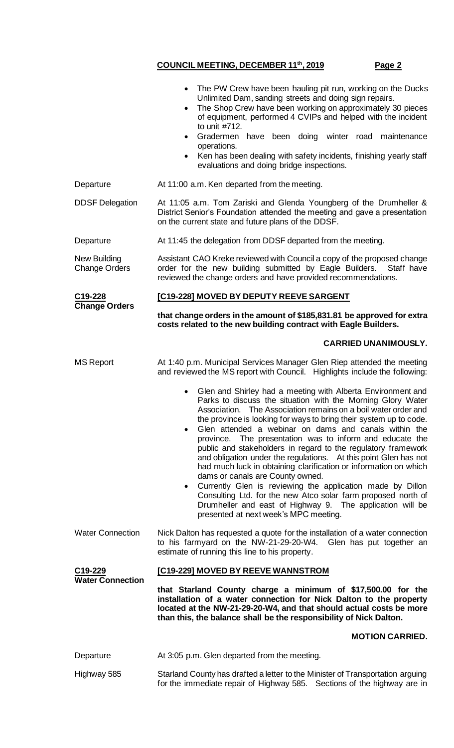• The PW Crew have been hauling pit run, working on the Ducks Unlimited Dam, sanding streets and doing sign repairs. The Shop Crew have been working on approximately 30 pieces of equipment, performed 4 CVIPs and helped with the incident to unit #712. Gradermen have been doing winter road maintenance operations. Ken has been dealing with safety incidents, finishing yearly staff evaluations and doing bridge inspections. Departure **At 11:00 a.m. Ken departed from the meeting.** DDSF Delegation At 11:05 a.m. Tom Zariski and Glenda Youngberg of the Drumheller & District Senior's Foundation attended the meeting and gave a presentation on the current state and future plans of the DDSF. Departure At 11:45 the delegation from DDSF departed from the meeting. New Building Change Orders Assistant CAO Kreke reviewed with Council a copy of the proposed change order for the new building submitted by Eagle Builders. Staff have reviewed the change orders and have provided recommendations. **C19-228 Change Orders [C19-228] MOVED BY DEPUTY REEVE SARGENT that change orders in the amount of \$185,831.81 be approved for extra costs related to the new building contract with Eagle Builders. CARRIED UNANIMOUSLY.** MS Report **At 1:40 p.m. Municipal Services Manager Glen Riep attended the meeting** and reviewed the MS report with Council. Highlights include the following: • Glen and Shirley had a meeting with Alberta Environment and Parks to discuss the situation with the Morning Glory Water Association. The Association remains on a boil water order and the province is looking for ways to bring their system up to code. Glen attended a webinar on dams and canals within the province. The presentation was to inform and educate the public and stakeholders in regard to the regulatory framework and obligation under the regulations. At this point Glen has not had much luck in obtaining clarification or information on which dams or canals are County owned. • Currently Glen is reviewing the application made by Dillon Consulting Ltd. for the new Atco solar farm proposed north of Drumheller and east of Highway 9. The application will be presented at next week's MPC meeting. Water Connection Nick Dalton has requested a quote for the installation of a water connection to his farmyard on the NW-21-29-20-W4. Glen has put together an estimate of running this line to his property. **C19-229 Water Connection [C19-229] MOVED BY REEVE WANNSTROM that Starland County charge a minimum of \$17,500.00 for the installation of a water connection for Nick Dalton to the property located at the NW-21-29-20-W4, and that should actual costs be more than this, the balance shall be the responsibility of Nick Dalton. MOTION CARRIED.** Departure At 3:05 p.m. Glen departed from the meeting. Highway 585 Starland County has drafted a letter to the Minister of Transportation arguing

for the immediate repair of Highway 585. Sections of the highway are in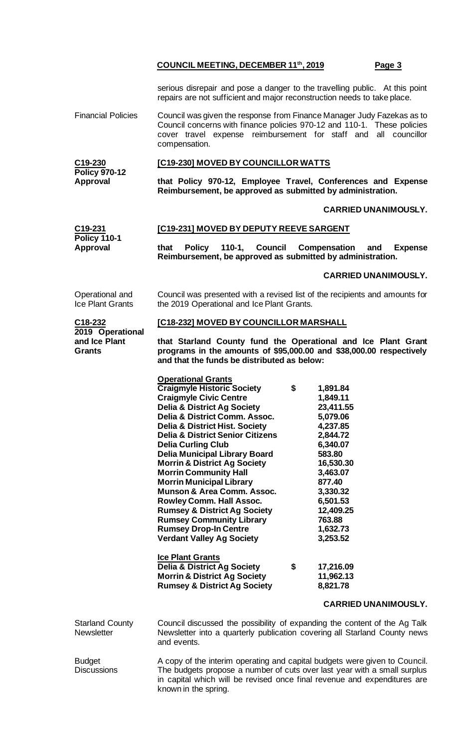serious disrepair and pose a danger to the travelling public. At this point repairs are not sufficient and major reconstruction needs to take place.

Financial Policies Council was given the response from Finance Manager Judy Fazekas as to Council concerns with finance policies 970-12 and 110-1. These policies cover travel expense reimbursement for staff and all councillor compensation.

| C19-230              | [C19-230] MOVED BY COUNCILLOR WATTS                          |  |  |  |  |  |
|----------------------|--------------------------------------------------------------|--|--|--|--|--|
| <b>Policy 970-12</b> |                                                              |  |  |  |  |  |
| Approval             | that Policy 970-12, Employee Travel, Conferences and Expense |  |  |  |  |  |
|                      | Reimbursement, be approved as submitted by administration.   |  |  |  |  |  |

#### **CARRIED UNANIMOUSLY.**

| C19-231                                            | [C19-231] MOVED BY DEPUTY REEVE SARGENT                                                                                                                                                                                                                                                                                                                                                                                                                                                                                                                                                                                                                                                                                                                                                                                                     |          |                                                                                                                                                                                                                                             |  |  |
|----------------------------------------------------|---------------------------------------------------------------------------------------------------------------------------------------------------------------------------------------------------------------------------------------------------------------------------------------------------------------------------------------------------------------------------------------------------------------------------------------------------------------------------------------------------------------------------------------------------------------------------------------------------------------------------------------------------------------------------------------------------------------------------------------------------------------------------------------------------------------------------------------------|----------|---------------------------------------------------------------------------------------------------------------------------------------------------------------------------------------------------------------------------------------------|--|--|
| <b>Policy 110-1</b><br><b>Approval</b>             | 110-1, Council<br><b>Policy</b><br>Compensation<br>that<br>and<br><b>Expense</b><br>Reimbursement, be approved as submitted by administration.                                                                                                                                                                                                                                                                                                                                                                                                                                                                                                                                                                                                                                                                                              |          |                                                                                                                                                                                                                                             |  |  |
|                                                    |                                                                                                                                                                                                                                                                                                                                                                                                                                                                                                                                                                                                                                                                                                                                                                                                                                             |          | <b>CARRIED UNANIMOUSLY.</b>                                                                                                                                                                                                                 |  |  |
| Operational and<br><b>Ice Plant Grants</b>         | Council was presented with a revised list of the recipients and amounts for<br>the 2019 Operational and Ice Plant Grants.                                                                                                                                                                                                                                                                                                                                                                                                                                                                                                                                                                                                                                                                                                                   |          |                                                                                                                                                                                                                                             |  |  |
| C18-232                                            | [C18-232] MOVED BY COUNCILLOR MARSHALL                                                                                                                                                                                                                                                                                                                                                                                                                                                                                                                                                                                                                                                                                                                                                                                                      |          |                                                                                                                                                                                                                                             |  |  |
| 2019 Operational<br>and Ice Plant<br><b>Grants</b> | that Starland County fund the Operational and Ice Plant Grant<br>programs in the amounts of \$95,000.00 and \$38,000.00 respectively<br>and that the funds be distributed as below:                                                                                                                                                                                                                                                                                                                                                                                                                                                                                                                                                                                                                                                         |          |                                                                                                                                                                                                                                             |  |  |
|                                                    | <b>Operational Grants</b><br><b>Craigmyle Historic Society</b><br><b>Craigmyle Civic Centre</b><br><b>Delia &amp; District Ag Society</b><br>Delia & District Comm. Assoc.<br><b>Delia &amp; District Hist. Society</b><br><b>Delia &amp; District Senior Citizens</b><br><b>Delia Curling Club</b><br><b>Delia Municipal Library Board</b><br><b>Morrin &amp; District Ag Society</b><br><b>Morrin Community Hall</b><br><b>Morrin Municipal Library</b><br><b>Munson &amp; Area Comm. Assoc.</b><br>Rowley Comm. Hall Assoc.<br><b>Rumsey &amp; District Ag Society</b><br><b>Rumsey Community Library</b><br><b>Rumsey Drop-In Centre</b><br><b>Verdant Valley Ag Society</b><br><b>Ice Plant Grants</b><br><b>Delia &amp; District Ag Society</b><br><b>Morrin &amp; District Ag Society</b><br><b>Rumsey &amp; District Ag Society</b> | \$<br>\$ | 1,891.84<br>1,849.11<br>23,411.55<br>5,079.06<br>4,237.85<br>2,844.72<br>6,340.07<br>583.80<br>16,530.30<br>3,463.07<br>877.40<br>3,330.32<br>6,501.53<br>12,409.25<br>763.88<br>1,632.73<br>3,253.52<br>17,216.09<br>11,962.13<br>8,821.78 |  |  |
|                                                    |                                                                                                                                                                                                                                                                                                                                                                                                                                                                                                                                                                                                                                                                                                                                                                                                                                             |          | <b>CARRIED UNANIMOUSLY.</b>                                                                                                                                                                                                                 |  |  |
| <b>Starland County</b><br><b>Newsletter</b>        | Council discussed the possibility of expanding the content of the Ag Talk<br>Newsletter into a quarterly publication covering all Starland County news<br>and events.                                                                                                                                                                                                                                                                                                                                                                                                                                                                                                                                                                                                                                                                       |          |                                                                                                                                                                                                                                             |  |  |
| <b>Budget</b><br><b>Discussions</b>                | A copy of the interim operating and capital budgets were given to Council.<br>The budgets propose a number of cuts over last year with a small surplus<br>in capital which will be revised once final revenue and expenditures are<br>known in the spring.                                                                                                                                                                                                                                                                                                                                                                                                                                                                                                                                                                                  |          |                                                                                                                                                                                                                                             |  |  |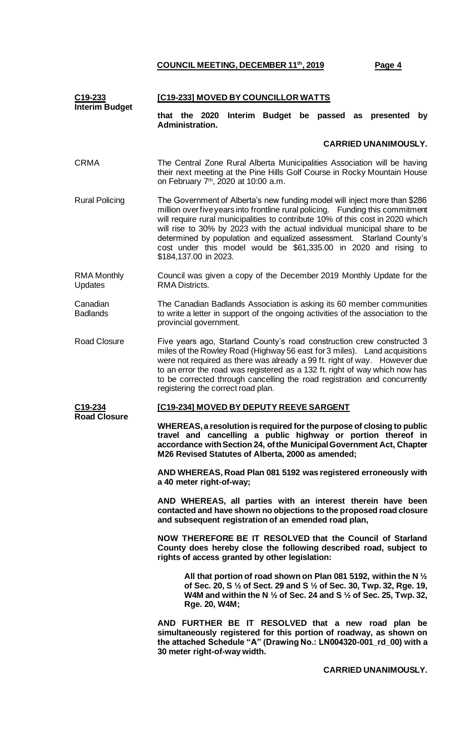| C19-233<br><b>Interim Budget</b> | [C19-233] MOVED BY COUNCILLOR WATTS                                                                                                                                                                                                                                                                                                                                                                                                                                                                                                                                                                                                                                                                                                                                  |  |  |  |  |  |                                       |    |
|----------------------------------|----------------------------------------------------------------------------------------------------------------------------------------------------------------------------------------------------------------------------------------------------------------------------------------------------------------------------------------------------------------------------------------------------------------------------------------------------------------------------------------------------------------------------------------------------------------------------------------------------------------------------------------------------------------------------------------------------------------------------------------------------------------------|--|--|--|--|--|---------------------------------------|----|
|                                  | that the 2020<br>Administration.                                                                                                                                                                                                                                                                                                                                                                                                                                                                                                                                                                                                                                                                                                                                     |  |  |  |  |  | Interim Budget be passed as presented | by |
|                                  |                                                                                                                                                                                                                                                                                                                                                                                                                                                                                                                                                                                                                                                                                                                                                                      |  |  |  |  |  | <b>CARRIED UNANIMOUSLY.</b>           |    |
| <b>CRMA</b>                      | The Central Zone Rural Alberta Municipalities Association will be having<br>their next meeting at the Pine Hills Golf Course in Rocky Mountain House<br>on February 7 <sup>th</sup> , 2020 at 10:00 a.m.                                                                                                                                                                                                                                                                                                                                                                                                                                                                                                                                                             |  |  |  |  |  |                                       |    |
| <b>Rural Policing</b>            | The Government of Alberta's new funding model will inject more than \$286<br>million over five years into frontline rural policing. Funding this commitment<br>will require rural municipalities to contribute 10% of this cost in 2020 which<br>will rise to 30% by 2023 with the actual individual municipal share to be<br>determined by population and equalized assessment. Starland County's<br>cost under this model would be \$61,335.00 in 2020 and rising to<br>\$184,137.00 in 2023.                                                                                                                                                                                                                                                                      |  |  |  |  |  |                                       |    |
| <b>RMA Monthly</b><br>Updates    | Council was given a copy of the December 2019 Monthly Update for the<br><b>RMA Districts.</b>                                                                                                                                                                                                                                                                                                                                                                                                                                                                                                                                                                                                                                                                        |  |  |  |  |  |                                       |    |
| Canadian<br><b>Badlands</b>      | The Canadian Badlands Association is asking its 60 member communities<br>to write a letter in support of the ongoing activities of the association to the<br>provincial government.                                                                                                                                                                                                                                                                                                                                                                                                                                                                                                                                                                                  |  |  |  |  |  |                                       |    |
| <b>Road Closure</b>              | Five years ago, Starland County's road construction crew constructed 3<br>miles of the Rowley Road (Highway 56 east for 3 miles). Land acquisitions<br>were not required as there was already a 99 ft. right of way. However due<br>to an error the road was registered as a 132 ft. right of way which now has<br>to be corrected through cancelling the road registration and concurrently<br>registering the correct road plan.                                                                                                                                                                                                                                                                                                                                   |  |  |  |  |  |                                       |    |
| C19-234                          | [C19-234] MOVED BY DEPUTY REEVE SARGENT                                                                                                                                                                                                                                                                                                                                                                                                                                                                                                                                                                                                                                                                                                                              |  |  |  |  |  |                                       |    |
| <b>Road Closure</b>              | WHEREAS, a resolution is required for the purpose of closing to public<br>travel and cancelling a public highway or portion thereof in<br>accordance with Section 24, of the Municipal Government Act, Chapter<br>M26 Revised Statutes of Alberta, 2000 as amended;                                                                                                                                                                                                                                                                                                                                                                                                                                                                                                  |  |  |  |  |  |                                       |    |
|                                  | AND WHEREAS, Road Plan 081 5192 was registered erroneously with<br>a 40 meter right-of-way;<br>AND WHEREAS, all parties with an interest therein have been<br>contacted and have shown no objections to the proposed road closure<br>and subsequent registration of an emended road plan,<br>NOW THEREFORE BE IT RESOLVED that the Council of Starland<br>County does hereby close the following described road, subject to<br>rights of access granted by other legislation:<br>All that portion of road shown on Plan 081 5192, within the N $\frac{1}{2}$<br>of Sec. 20, S $\frac{1}{2}$ of Sect. 29 and S $\frac{1}{2}$ of Sec. 30, Twp. 32, Rge. 19,<br>W4M and within the N $\frac{1}{2}$ of Sec. 24 and S $\frac{1}{2}$ of Sec. 25, Twp. 32,<br>Rge. 20, W4M; |  |  |  |  |  |                                       |    |
|                                  |                                                                                                                                                                                                                                                                                                                                                                                                                                                                                                                                                                                                                                                                                                                                                                      |  |  |  |  |  |                                       |    |
|                                  |                                                                                                                                                                                                                                                                                                                                                                                                                                                                                                                                                                                                                                                                                                                                                                      |  |  |  |  |  |                                       |    |
|                                  |                                                                                                                                                                                                                                                                                                                                                                                                                                                                                                                                                                                                                                                                                                                                                                      |  |  |  |  |  |                                       |    |
|                                  | AND FURTHER BE IT RESOLVED that a new road plan be<br>simultaneously registered for this portion of roadway, as shown on<br>the attached Schedule "A" (Drawing No.: LN004320-001_rd_00) with a<br>30 meter right-of-way width.                                                                                                                                                                                                                                                                                                                                                                                                                                                                                                                                       |  |  |  |  |  |                                       |    |
|                                  |                                                                                                                                                                                                                                                                                                                                                                                                                                                                                                                                                                                                                                                                                                                                                                      |  |  |  |  |  |                                       |    |

#### **CARRIED UNANIMOUSLY.**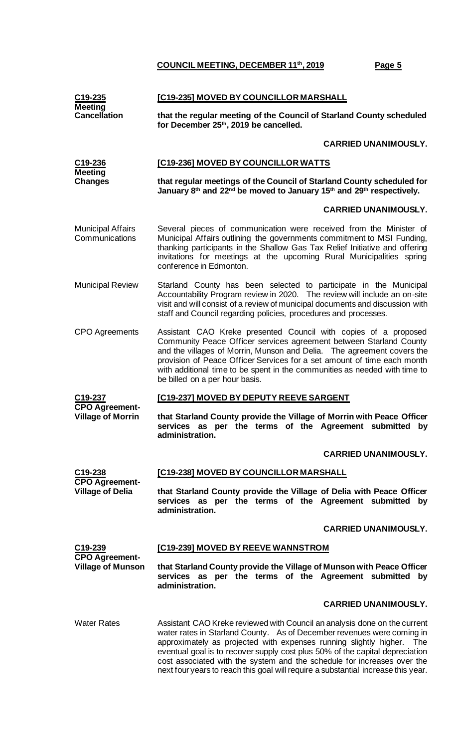next four years to reach this goal will require a substantial increase this year.

| C19-235                                                      | [C19-235] MOVED BY COUNCILLOR MARSHALL                                                                                                                                                                                                                                                                                                                                                                     |                             |  |  |
|--------------------------------------------------------------|------------------------------------------------------------------------------------------------------------------------------------------------------------------------------------------------------------------------------------------------------------------------------------------------------------------------------------------------------------------------------------------------------------|-----------------------------|--|--|
| <b>Meeting</b><br><b>Cancellation</b>                        | that the regular meeting of the Council of Starland County scheduled<br>for December 25th, 2019 be cancelled.                                                                                                                                                                                                                                                                                              |                             |  |  |
|                                                              |                                                                                                                                                                                                                                                                                                                                                                                                            | <b>CARRIED UNANIMOUSLY.</b> |  |  |
| C19-236                                                      | [C19-236] MOVED BY COUNCILLOR WATTS                                                                                                                                                                                                                                                                                                                                                                        |                             |  |  |
| <b>Meeting</b><br><b>Changes</b>                             | that regular meetings of the Council of Starland County scheduled for<br>January 8 <sup>th</sup> and 22 <sup>nd</sup> be moved to January 15 <sup>th</sup> and 29 <sup>th</sup> respectively.                                                                                                                                                                                                              |                             |  |  |
|                                                              |                                                                                                                                                                                                                                                                                                                                                                                                            | <b>CARRIED UNANIMOUSLY.</b> |  |  |
| <b>Municipal Affairs</b><br>Communications                   | Several pieces of communication were received from the Minister of<br>Municipal Affairs outlining the governments commitment to MSI Funding,<br>thanking participants in the Shallow Gas Tax Relief Initiative and offering<br>invitations for meetings at the upcoming Rural Municipalities spring<br>conference in Edmonton.                                                                             |                             |  |  |
| <b>Municipal Review</b>                                      | Starland County has been selected to participate in the Municipal<br>Accountability Program review in 2020. The review will include an on-site<br>visit and will consist of a review of municipal documents and discussion with<br>staff and Council regarding policies, procedures and processes.                                                                                                         |                             |  |  |
| <b>CPO</b> Agreements                                        | Assistant CAO Kreke presented Council with copies of a proposed<br>Community Peace Officer services agreement between Starland County<br>and the villages of Morrin, Munson and Delia. The agreement covers the<br>provision of Peace Officer Services for a set amount of time each month<br>with additional time to be spent in the communities as needed with time to<br>be billed on a per hour basis. |                             |  |  |
| C19-237                                                      | [C19-237] MOVED BY DEPUTY REEVE SARGENT                                                                                                                                                                                                                                                                                                                                                                    |                             |  |  |
| <b>CPO Agreement-</b><br><b>Village of Morrin</b>            | that Starland County provide the Village of Morrin with Peace Officer<br>services as per the terms of the Agreement submitted by<br>administration.                                                                                                                                                                                                                                                        |                             |  |  |
|                                                              |                                                                                                                                                                                                                                                                                                                                                                                                            | <b>CARRIED UNANIMOUSLY.</b> |  |  |
| C19-238                                                      | [C19-238] MOVED BY COUNCILLOR MARSHALL                                                                                                                                                                                                                                                                                                                                                                     |                             |  |  |
| <b>CPO Agreement-</b><br><b>Village of Delia</b>             | that Starland County provide the Village of Delia with Peace Officer<br>services as per the terms of the Agreement submitted by<br>administration.                                                                                                                                                                                                                                                         |                             |  |  |
|                                                              |                                                                                                                                                                                                                                                                                                                                                                                                            | <b>CARRIED UNANIMOUSLY.</b> |  |  |
| C19-239<br><b>CPO Agreement-</b><br><b>Village of Munson</b> | [C19-239] MOVED BY REEVE WANNSTROM                                                                                                                                                                                                                                                                                                                                                                         |                             |  |  |
|                                                              | that Starland County provide the Village of Munson with Peace Officer<br>services as per the terms of the Agreement submitted by<br>administration.                                                                                                                                                                                                                                                        |                             |  |  |
|                                                              |                                                                                                                                                                                                                                                                                                                                                                                                            | <b>CARRIED UNANIMOUSLY.</b> |  |  |
| <b>Water Rates</b>                                           | Assistant CAO Kreke reviewed with Council an analysis done on the current<br>water rates in Starland County. As of December revenues were coming in<br>approximately as projected with expenses running slightly higher. The<br>eventual goal is to recover supply cost plus 50% of the capital depreciation<br>cost associated with the system and the schedule for increases over the                    |                             |  |  |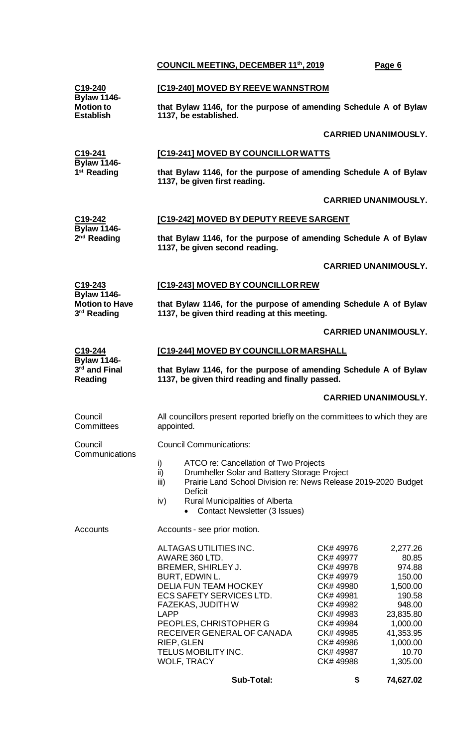|                                                                       | COUNCIL MEETING, DECEMBER 11th, 2019                                                                                                                                                                                                                                                          |                                                                                     | Page 6                                                                |  |  |  |
|-----------------------------------------------------------------------|-----------------------------------------------------------------------------------------------------------------------------------------------------------------------------------------------------------------------------------------------------------------------------------------------|-------------------------------------------------------------------------------------|-----------------------------------------------------------------------|--|--|--|
| C19-240<br><b>Bylaw 1146-</b><br><b>Motion to</b><br><b>Establish</b> | [C19-240] MOVED BY REEVE WANNSTROM<br>that Bylaw 1146, for the purpose of amending Schedule A of Bylaw<br>1137, be established.                                                                                                                                                               |                                                                                     |                                                                       |  |  |  |
|                                                                       |                                                                                                                                                                                                                                                                                               |                                                                                     | <b>CARRIED UNANIMOUSLY.</b>                                           |  |  |  |
| C19-241                                                               | [C19-241] MOVED BY COUNCILLOR WATTS                                                                                                                                                                                                                                                           |                                                                                     |                                                                       |  |  |  |
| <b>Bylaw 1146-</b><br>1 <sup>st</sup> Reading                         | that Bylaw 1146, for the purpose of amending Schedule A of Bylaw<br>1137, be given first reading.                                                                                                                                                                                             |                                                                                     |                                                                       |  |  |  |
|                                                                       |                                                                                                                                                                                                                                                                                               |                                                                                     | <b>CARRIED UNANIMOUSLY.</b>                                           |  |  |  |
| C19-242                                                               | [C19-242] MOVED BY DEPUTY REEVE SARGENT                                                                                                                                                                                                                                                       |                                                                                     |                                                                       |  |  |  |
| <b>Bylaw 1146-</b><br>2 <sup>nd</sup> Reading                         | that Bylaw 1146, for the purpose of amending Schedule A of Bylaw<br>1137, be given second reading.                                                                                                                                                                                            |                                                                                     |                                                                       |  |  |  |
|                                                                       |                                                                                                                                                                                                                                                                                               |                                                                                     | <b>CARRIED UNANIMOUSLY.</b>                                           |  |  |  |
| C19-243<br><b>Bylaw 1146-</b>                                         | [C19-243] MOVED BY COUNCILLOR REW                                                                                                                                                                                                                                                             |                                                                                     |                                                                       |  |  |  |
| <b>Motion to Have</b><br>3 <sup>rd</sup> Reading                      | that Bylaw 1146, for the purpose of amending Schedule A of Bylaw<br>1137, be given third reading at this meeting.                                                                                                                                                                             |                                                                                     |                                                                       |  |  |  |
|                                                                       |                                                                                                                                                                                                                                                                                               |                                                                                     | <b>CARRIED UNANIMOUSLY.</b>                                           |  |  |  |
| C19-244                                                               | [C19-244] MOVED BY COUNCILLOR MARSHALL                                                                                                                                                                                                                                                        |                                                                                     |                                                                       |  |  |  |
| <b>Bylaw 1146-</b><br>3rd and Final<br>Reading                        | that Bylaw 1146, for the purpose of amending Schedule A of Bylaw<br>1137, be given third reading and finally passed.                                                                                                                                                                          |                                                                                     |                                                                       |  |  |  |
|                                                                       |                                                                                                                                                                                                                                                                                               |                                                                                     | <b>CARRIED UNANIMOUSLY.</b>                                           |  |  |  |
| Council<br>Committees                                                 | All councillors present reported briefly on the committees to which they are<br>appointed.                                                                                                                                                                                                    |                                                                                     |                                                                       |  |  |  |
| Council<br>Communications                                             | <b>Council Communications:</b>                                                                                                                                                                                                                                                                |                                                                                     |                                                                       |  |  |  |
|                                                                       | i)<br>ATCO re: Cancellation of Two Projects<br>Drumheller Solar and Battery Storage Project<br>ii)<br>Prairie Land School Division re: News Release 2019-2020 Budget<br>iii)<br><b>Deficit</b><br>Rural Municipalities of Alberta<br>iv)<br><b>Contact Newsletter (3 Issues)</b><br>$\bullet$ |                                                                                     |                                                                       |  |  |  |
| <b>Accounts</b>                                                       | Accounts - see prior motion.                                                                                                                                                                                                                                                                  |                                                                                     |                                                                       |  |  |  |
|                                                                       | ALTAGAS UTILITIES INC.<br>AWARE 360 LTD.<br>BREMER, SHIRLEY J.<br>BURT, EDWIN L.<br><b>DELIA FUN TEAM HOCKEY</b><br>ECS SAFETY SERVICES LTD.<br><b>FAZEKAS, JUDITH W</b>                                                                                                                      | CK#49976<br>CK# 49977<br>CK# 49978<br>CK#49979<br>CK#49980<br>CK# 49981<br>CK#49982 | 2,277.26<br>80.85<br>974.88<br>150.00<br>1,500.00<br>190.58<br>948.00 |  |  |  |

WOLF, TRACY CK# 49988 1,305.00

 **Sub-Total: \$ 74,627.02**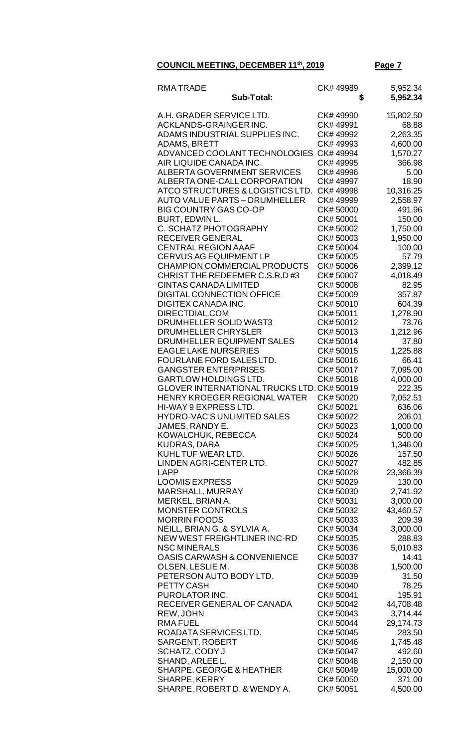| <b>RMATRADE</b>                                               | CK#49989               | 5,952.34           |
|---------------------------------------------------------------|------------------------|--------------------|
| <b>Sub-Total:</b>                                             |                        | 5,952.34<br>\$     |
| A.H. GRADER SERVICE LTD.                                      | CK#49990               | 15,802.50          |
| ACKLANDS-GRAINGER INC.                                        | CK#49991               | 68.88              |
| ADAMS INDUSTRIAL SUPPLIES INC.                                | CK#49992               | 2,263.35           |
| <b>ADAMS, BRETT</b>                                           | CK#49993               | 4,600.00           |
| ADVANCED COOLANT TECHNOLOGIES                                 | CK#49994               | 1,570.27           |
| AIR LIQUIDE CANADA INC.                                       | CK# 49995              | 366.98             |
| ALBERTA GOVERNMENT SERVICES                                   | CK# 49996              | 5.00               |
| ALBERTA ONE-CALL CORPORATION                                  | CK#49997               | 18.90              |
| ATCO STRUCTURES & LOGISTICS LTD.                              | CK#49998               | 10,316.25          |
| <b>AUTO VALUE PARTS - DRUMHELLER</b>                          | CK#49999               | 2,558.97           |
| <b>BIG COUNTRY GAS CO-OP</b>                                  | CK#50000               | 491.96             |
| BURT, EDWIN L.                                                | CK#50001               | 150.00             |
| C. SCHATZ PHOTOGRAPHY                                         | CK#50002               | 1,750.00           |
| <b>RECEIVER GENERAL</b>                                       | CK#50003               | 1,950.00           |
| <b>CENTRAL REGION AAAF</b>                                    | CK#50004               | 100.00             |
| <b>CERVUS AG EQUIPMENT LP</b>                                 | CK#50005               | 57.79              |
| CHAMPION COMMERCIAL PRODUCTS                                  | CK#50006               | 2,399.12           |
| CHRIST THE REDEEMER C.S.R.D#3<br><b>CINTAS CANADA LIMITED</b> | CK#50007<br>CK#50008   | 4,018.49           |
| <b>DIGITAL CONNECTION OFFICE</b>                              | CK#50009               | 82.95<br>357.87    |
| DIGITEX CANADA INC.                                           | CK#50010               | 604.39             |
| DIRECTDIAL.COM                                                | CK#50011               | 1,278.90           |
| DRUMHELLER SOLID WAST3                                        | CK#50012               | 73.76              |
| <b>DRUMHELLER CHRYSLER</b>                                    | CK#50013               | 1,212.96           |
| DRUMHELLER EQUIPMENT SALES                                    | CK#50014               | 37.80              |
| <b>EAGLE LAKE NURSERIES</b>                                   | CK#50015               | 1,225.88           |
| FOURLANE FORD SALES LTD.                                      | CK#50016               | 66.41              |
| <b>GANGSTER ENTERPRISES</b>                                   | CK#50017               | 7,095.00           |
| <b>GARTLOW HOLDINGS LTD.</b>                                  | CK#50018               | 4,000.00           |
| GLOVER INTERNATIONAL TRUCKS LTD. CK# 50019                    |                        | 222.35             |
| HENRY KROEGER REGIONAL WATER                                  | CK#50020               | 7,052.51           |
| HI-WAY 9 EXPRESS LTD.                                         | CK#50021               | 636.06             |
| HYDRO-VAC'S UNLIMITED SALES                                   | CK#50022               | 206.01             |
| JAMES, RANDY E.                                               | CK# 50023              | 1,000.00           |
| KOWALCHUK, REBECCA<br><b>KUDRAS, DARA</b>                     | CK# 50024<br>CK# 50025 | 500.00<br>1,346.00 |
| KUHL TUF WEAR LTD.                                            | CK#50026               | 157.50             |
| LINDEN AGRI-CENTER LTD.                                       | CK# 50027              | 482.85             |
| LAPP                                                          | CK#50028               | 23,366.39          |
| <b>LOOMIS EXPRESS</b>                                         | CK# 50029              | 130.00             |
| MARSHALL, MURRAY                                              | CK# 50030              | 2,741.92           |
| MERKEL, BRIAN A.                                              | CK#50031               | 3,000.00           |
| <b>MONSTER CONTROLS</b>                                       | CK#50032               | 43,460.57          |
| <b>MORRIN FOODS</b>                                           | CK#50033               | 209.39             |
| NEILL, BRIAN G. & SYLVIA A.                                   | CK# 50034              | 3,000.00           |
| <b>NEW WEST FREIGHTLINER INC-RD</b>                           | CK# 50035              | 288.83             |
| <b>NSC MINERALS</b>                                           | CK# 50036              | 5,010.83           |
| OASIS CARWASH & CONVENIENCE                                   | CK# 50037              | 14.41              |
| OLSEN, LESLIE M.                                              | CK#50038               | 1,500.00           |
| PETERSON AUTO BODY LTD.<br>PETTY CASH                         | CK#50039<br>CK#50040   | 31.50<br>78.25     |
| PUROLATOR INC.                                                | CK#50041               | 195.91             |
| RECEIVER GENERAL OF CANADA                                    | CK# 50042              | 44,708.48          |
| <b>REW, JOHN</b>                                              | CK# 50043              | 3,714.44           |
| <b>RMA FUEL</b>                                               | CK# 50044              | 29,174.73          |
| ROADATA SERVICES LTD.                                         | CK# 50045              | 283.50             |
| <b>SARGENT, ROBERT</b>                                        | CK# 50046              | 1,745.48           |
| <b>SCHATZ, CODY J</b>                                         | CK#50047               | 492.60             |
| SHAND, ARLEE L.                                               | CK#50048               | 2,150.00           |
| <b>SHARPE, GEORGE &amp; HEATHER</b>                           | CK# 50049              | 15,000.00          |
| SHARPE, KERRY                                                 | CK#50050               | 371.00             |
| SHARPE, ROBERT D. & WENDY A.                                  | CK# 50051              | 4,500.00           |